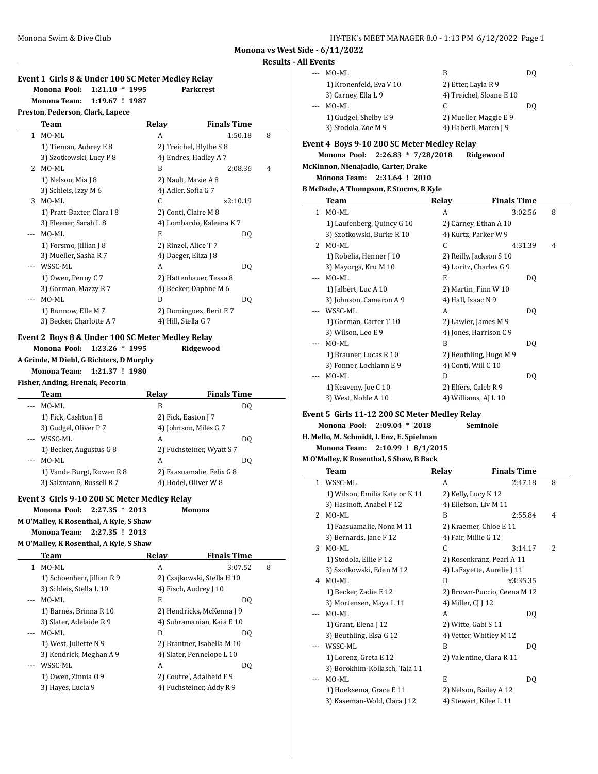# **Results - A Event 1 Girls 8 & Under 100 SC Meter Medley Relay Monona Pool: 1:21.10 \* 1995 Parkcrest Monona Team: 1:19.67 ! 1987 Preston, Pederson, Clark, Lapece Team Relay Finals Time** 1 MO-ML A 1:50.18 8 1) Tieman, Aubrey E 8 2) Treichel, Blythe S 8 3) Szotkowski, Lucy P 8 4) Endres, Hadley A 7 2 MO-ML B 2:08.36 4 1) Nelson, Mia J 8 2) Nault, Mazie A 8 3) Schleis, Izzy M 6 4) Adler, Sofia G 7 3 MO-ML C x2:10.19 1) Pratt-Baxter, Clara I 8 2) Conti, Claire M 8 3) Fleener, Sarah L 8 4) Lombardo, Kaleena K 7 --- MO-ML E DQ 1) Forsmo, Jillian J 8 2) Rinzel, Alice T 7 3) Mueller, Sasha R 7 4) Daeger, Eliza J 8 --- WSSC-ML A DO 1) Owen, Penny C 7 2) Hattenhauer, Tessa 8 3) Gorman, Mazzy R 7 4) Becker, Daphne M 6 -- MO-ML D D DQ 1) Bunnow, Elle M 7 2) Dominguez, Berit E 7 3) Becker, Charlotte A 7 4) Hill, Stella G 7 **Event 2 Boys 8 & Under 100 SC Meter Medley Relay Monona Pool: 1:23.26 \* 1995 Ridgewood A Grinde, M Diehl, G Richters, D Murphy Monona Team: 1:21.37 ! 1980 Fisher, Anding, Hrenak, Pecorin Team Relay Finals Time** -- MO-ML B DQ 1) Fick, Cashton J 8 2) Fick, Easton J 7 3) Gudgel, Oliver P 7 4) Johnson, Miles G 7 WSSC-ML A DQ 1) Becker, Augustus G 8 2) Fuchsteiner, Wyatt S 7 -- MO-ML A DQ 1) Vande Burgt, Rowen R 8 2) Faasuamalie, Felix G 8 3) Salzmann, Russell R 7 4) Hodel, Oliver W 8 **Event 3 Girls 9-10 200 SC Meter Medley Relay Monona Pool: 2:27.35 \* 2013 Monona M O'Malley, K Rosenthal, A Kyle, S Shaw Monona Team: 2:27.35 ! 2013 M O'Malley, K Rosenthal, A Kyle, S Shaw Team Relay Finals Time** 1 MO-ML A 3:07.52 8 1) Schoenherr, Jillian R 9 2) Czajkowski, Stella H 10 3) Schleis, Stella L 10 4) Fisch, Audrey J 10 --- MO-ML E DQ 1) Barnes, Brinna R 10 2) Hendricks, McKenna J 9 3) Slater, Adelaide R 9 4) Subramanian, Kaia E 10 -- MO-ML D D DQ 1) West, Juliette N 9 2) Brantner, Isabella M 10 3) Kendrick, Meghan A 9 4) Slater, Pennelope L 10 WSSC-ML A DQ 1) Owen, Zinnia O 9 2) Coutre', Adalheid F 9 3) Hayes, Lucia 9 4) Fuchsteiner, Addy R 9

|              | ll Events                                     |                    |                              |   |
|--------------|-----------------------------------------------|--------------------|------------------------------|---|
|              | MO-ML                                         | B                  | DQ                           |   |
|              | 1) Kronenfeld, Eva V 10                       |                    | 2) Etter, Layla R 9          |   |
|              | 3) Carney, Ella L 9                           |                    | 4) Treichel, Sloane E 10     |   |
|              | MO-ML                                         | C                  | DQ                           |   |
|              | 1) Gudgel, Shelby E 9                         |                    | 2) Mueller, Maggie E 9       |   |
|              | 3) Stodola, Zoe M 9                           |                    | 4) Haberli, Maren J 9        |   |
|              |                                               |                    |                              |   |
|              | Event 4 Boys 9-10 200 SC Meter Medley Relay   |                    |                              |   |
|              | Monona Pool:<br>$2:26.83 * 7/28/2018$         |                    | Ridgewood                    |   |
|              | McKinnon, Nienajadlo, Carter, Drake           |                    |                              |   |
|              | <b>Monona Team:</b><br>2:31.64 ! 2010         |                    |                              |   |
|              | <b>B McDade, A Thompson, E Storms, R Kyle</b> |                    |                              |   |
|              | <b>Team</b>                                   | Relay              | <b>Finals Time</b>           |   |
| $\mathbf{1}$ | MO-ML                                         | A                  | 3:02.56                      | 8 |
|              | 1) Laufenberg, Quincy G 10                    |                    | 2) Carney, Ethan A 10        |   |
|              | 3) Szotkowski, Burke R 10                     |                    | 4) Kurtz, Parker W 9         |   |
|              | 2 MO-ML                                       | C                  | 4:31.39                      | 4 |
|              | 1) Robelia, Henner J 10                       |                    | 2) Reilly, Jackson S 10      |   |
|              | 3) Mayorga, Kru M 10                          |                    | 4) Loritz, Charles G 9       |   |
|              | MO-ML                                         | E                  | DQ                           |   |
|              | 1) Jalbert, Luc A 10                          |                    | 2) Martin, Finn W 10         |   |
|              | 3) Johnson, Cameron A 9                       | 4) Hall, Isaac N 9 |                              |   |
|              | WSSC-ML                                       | A                  | DQ                           |   |
|              | 1) Gorman, Carter T 10                        |                    | 2) Lawler, James M 9         |   |
|              | 3) Wilson, Leo E 9                            |                    | 4) Jones, Harrison C 9       |   |
|              | MO-ML                                         | B                  | DQ                           |   |
|              | 1) Brauner, Lucas R 10                        |                    | 2) Beuthling, Hugo M 9       |   |
|              | 3) Fonner, Lochlann E 9                       |                    | 4) Conti, Will C 10          |   |
|              | MO-ML                                         | D                  | DQ                           |   |
|              | 1) Keaveny, Joe C 10                          |                    | 2) Elfers, Caleb R 9         |   |
|              | 3) West, Noble A 10                           |                    | 4) Williams, AJ L 10         |   |
|              |                                               |                    |                              |   |
|              | Event 5 Girls 11-12 200 SC Meter Medley Relay |                    |                              |   |
|              | Monona Pool:<br>$2:09.04 * 2018$              |                    | Seminole                     |   |
|              | H. Mello, M. Schmidt, I. Enz, E. Spielman     |                    |                              |   |
|              | <b>Monona Team:</b><br>2:10.99 ! 8/1/2015     |                    |                              |   |
|              | M O'Malley, K Rosenthal, S Shaw, B Back       |                    |                              |   |
|              | <b>Team</b>                                   | Relay              | <b>Finals Time</b>           |   |
| $\mathbf{1}$ | WSSC-ML                                       | A                  | 2:47.18                      | 8 |
|              | 1) Wilson, Emilia Kate or K 11                |                    | 2) Kelly, Lucy K 12          |   |
|              |                                               |                    |                              |   |
|              |                                               |                    | 4) Ellefson, Liv M 11        |   |
| 2            | 3) Hasinoff, Anabel F 12<br>MO-ML             | B                  | 2:55.84                      | 4 |
|              |                                               |                    |                              |   |
|              | 1) Faasuamalie, Nona M 11                     |                    | 2) Kraemer, Chloe E 11       |   |
|              | 3) Bernards, Jane F 12<br>MO-ML               | С                  | 4) Fair, Millie G 12         | 2 |
| 3            |                                               |                    | 3:14.17                      |   |
|              | 1) Stodola, Ellie P 12                        |                    | 2) Rosenkranz, Pearl A 11    |   |
|              | 3) Szotkowski, Eden M 12                      |                    | 4) LaFayette, Aurelie J 11   |   |
|              | 4 MO-ML                                       | D                  | x3:35.35                     |   |
|              | 1) Becker, Zadie E 12                         |                    | 2) Brown-Puccio, Ceena M 12  |   |
|              | 3) Mortensen, Maya L 11                       | 4) Miller, CJ J 12 |                              |   |
|              | MO-ML                                         | A                  | DQ                           |   |
|              | 1) Grant, Elena J 12                          |                    | 2) Witte, Gabi S 11          |   |
|              | 3) Beuthling, Elsa G 12                       |                    | 4) Vetter, Whitley M 12      |   |
| ---          | WSSC-ML                                       | B                  | DQ                           |   |
|              | 1) Lorenz, Greta E 12                         |                    | 2) Valentine, Clara R 11     |   |
|              | 3) Borokhim-Kollasch, Tala 11                 |                    |                              |   |
|              | MO-ML<br>1) Hoeksema, Grace E 11              | E                  | DQ<br>2) Nelson, Bailey A 12 |   |

3) Kaseman-Wold, Clara J 12 4) Stewart, Kilee L 11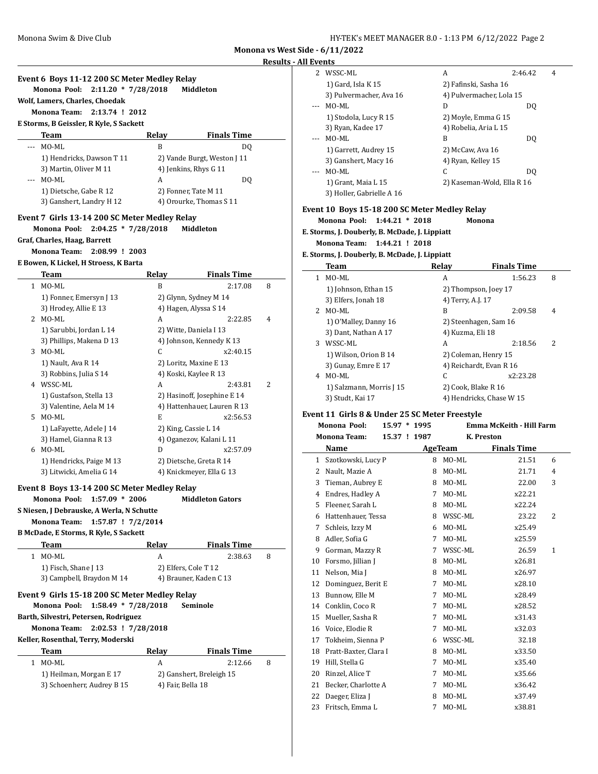**Monona vs West Side Results - All E** 

 $\overline{\phantom{0}}$ 

|       | Event 6 Boys 11-12 200 SC Meter Medley Relay<br>Monona Pool:<br>$2:11.20 * 7/28/2018$ |                   | Middleton                                            |   |
|-------|---------------------------------------------------------------------------------------|-------------------|------------------------------------------------------|---|
|       | Wolf, Lamers, Charles, Choedak                                                        |                   |                                                      |   |
|       | Monona Team:<br>2:13.74 ! 2012                                                        |                   |                                                      |   |
|       | E Storms, B Geissler, R Kyle, S Sackett                                               |                   |                                                      |   |
|       | Team<br>MO-ML                                                                         | Relay             | <b>Finals Time</b>                                   |   |
| --- 1 | 1) Hendricks, Dawson T 11                                                             | B                 | DQ                                                   |   |
|       | 3) Martin, Oliver M 11                                                                |                   | 2) Vande Burgt, Weston J 11<br>4) Jenkins, Rhys G 11 |   |
|       | --- MO-ML                                                                             | A                 | DQ                                                   |   |
|       | 1) Dietsche, Gabe R 12                                                                |                   | 2) Fonner, Tate M 11                                 |   |
|       | 3) Ganshert, Landry H 12                                                              |                   | 4) Orourke, Thomas S 11                              |   |
|       | Event 7 Girls 13-14 200 SC Meter Medley Relay                                         |                   |                                                      |   |
|       | Monona Pool:<br>$2:04.25 * 7/28/2018$                                                 |                   | Middleton                                            |   |
|       | Graf, Charles, Haag, Barrett                                                          |                   |                                                      |   |
|       | Monona Team:<br>2:08.99 ! 2003                                                        |                   |                                                      |   |
|       | E Bowen, K Lickel, H Stroess, K Barta                                                 |                   |                                                      |   |
|       | Team                                                                                  | Relay             | <b>Finals Time</b>                                   |   |
|       | 1 MO-ML                                                                               | B                 | 2:17.08                                              | 8 |
|       | 1) Fonner, Emersyn J 13                                                               |                   | 2) Glynn, Sydney M 14                                |   |
|       | 3) Hrodey, Allie E 13                                                                 |                   | 4) Hagen, Alyssa S 14                                |   |
|       | 2 MO-ML                                                                               | A                 | 2:22.85                                              | 4 |
|       | 1) Sarubbi, Jordan L 14                                                               |                   | 2) Witte, Daniela I 13                               |   |
|       | 3) Phillips, Makena D 13                                                              |                   | 4) Johnson, Kennedy K 13                             |   |
|       | 3 MO-ML                                                                               | C                 | x2:40.15                                             |   |
|       | 1) Nault, Ava R 14<br>3) Robbins, Julia S 14                                          |                   | 2) Loritz, Maxine E 13                               |   |
|       | 4 WSSC-ML                                                                             | A                 | 4) Koski, Kaylee R 13<br>2:43.81                     | 2 |
|       | 1) Gustafson, Stella 13                                                               |                   | 2) Hasinoff, Josephine E 14                          |   |
|       | 3) Valentine, Aela M 14                                                               |                   | 4) Hattenhauer, Lauren R 13                          |   |
|       | 5 MO-ML                                                                               | E                 | x2:56.53                                             |   |
|       | 1) LaFayette, Adele J 14                                                              |                   | 2) King, Cassie L 14                                 |   |
|       | 3) Hamel, Gianna R 13                                                                 |                   | 4) Oganezov, Kalani L 11                             |   |
|       | 6 MO-ML                                                                               | D                 | x2:57.09                                             |   |
|       | 1) Hendricks, Paige M 13                                                              |                   | 2) Dietsche, Greta R 14                              |   |
|       | 3) Litwicki, Amelia G 14                                                              |                   | 4) Knickmeyer, Ella G 13                             |   |
|       | Event 8 Boys 13-14 200 SC Meter Medley Relay                                          |                   |                                                      |   |
|       | Monona Pool:<br>$1:57.09 * 2006$                                                      |                   | <b>Middleton Gators</b>                              |   |
|       | S Niesen, J Debrauske, A Werla, N Schutte                                             |                   |                                                      |   |
|       | 1:57.87 ! 7/2/2014<br><b>Monona Team:</b>                                             |                   |                                                      |   |
|       | B McDade, E Storms, R Kyle, S Sackett                                                 |                   |                                                      |   |
|       | Team                                                                                  | Relay             | <b>Finals Time</b>                                   |   |
|       | 1 MO-ML                                                                               | A                 | 2:38.63                                              | 8 |
|       | 1) Fisch, Shane J 13                                                                  |                   | 2) Elfers, Cole T 12                                 |   |
|       | 3) Campbell, Braydon M 14                                                             |                   | 4) Brauner, Kaden C 13                               |   |
|       | Event 9 Girls 15-18 200 SC Meter Medley Relay                                         |                   |                                                      |   |
|       | Monona Pool:<br>$1:58.49 * 7/28/2018$                                                 |                   | Seminole                                             |   |
|       |                                                                                       |                   |                                                      |   |
|       | Barth, Silvestri, Petersen, Rodriguez                                                 |                   |                                                      |   |
|       | <b>Monona Team:</b><br>2:02.53 ! 7/28/2018<br>Keller, Rosenthal, Terry, Moderski      |                   |                                                      |   |
|       |                                                                                       |                   |                                                      |   |
|       | Team                                                                                  | <b>Relay</b>      | <b>Finals Time</b>                                   |   |
|       | 1 MO-ML                                                                               | A                 | 2:12.66                                              | 8 |
|       | 1) Heilman, Morgan E 17                                                               |                   | 2) Ganshert, Breleigh 15                             |   |
|       | 3) Schoenherr, Audrey B 15                                                            | 4) Fair, Bella 18 |                                                      |   |

|           | ide - 6/11/2022                                 |   |                          |                                 |   |
|-----------|-------------------------------------------------|---|--------------------------|---------------------------------|---|
| ll Events |                                                 |   |                          |                                 |   |
|           | 2 WSSC-ML                                       |   | A                        | 2:46.42                         | 4 |
|           | 1) Gard, Isla K 15                              |   | 2) Fafinski, Sasha 16    |                                 |   |
|           | 3) Pulvermacher, Ava 16                         |   | 4) Pulvermacher, Lola 15 |                                 |   |
|           | MO-ML                                           |   | D                        | DQ                              |   |
|           | 1) Stodola, Lucy R 15                           |   | 2) Moyle, Emma G 15      |                                 |   |
|           | 3) Ryan, Kadee 17                               |   | 4) Robelia, Aria L 15    |                                 |   |
|           | MO-ML                                           |   | B                        | DQ                              |   |
|           | 1) Garrett, Audrey 15                           |   | 2) McCaw, Ava 16         |                                 |   |
|           | 3) Ganshert, Macy 16                            |   | 4) Ryan, Kelley 15       |                                 |   |
| ---       | MO-ML                                           |   | C                        | DQ                              |   |
|           | 1) Grant, Maia L 15                             |   |                          | 2) Kaseman-Wold, Ella R 16      |   |
|           | 3) Holler, Gabrielle A 16                       |   |                          |                                 |   |
|           | Event 10  Boys 15-18 200 SC Meter Medley Relay  |   |                          |                                 |   |
|           | Monona Pool:<br>$1:44.21 * 2018$                |   | Monona                   |                                 |   |
|           | E. Storms, J. Douberly, B. McDade, J. Lippiatt  |   |                          |                                 |   |
|           | <b>Monona Team:</b><br>1:44.21 ! 2018           |   |                          |                                 |   |
|           | E. Storms, J. Douberly, B. McDade, J. Lippiatt  |   |                          |                                 |   |
|           | Team                                            |   | Relay                    | <b>Finals Time</b>              |   |
|           | 1 MO-ML                                         |   | A                        | 1:56.23                         | 8 |
|           | 1) Johnson, Ethan 15                            |   | 2) Thompson, Joey 17     |                                 |   |
|           | 3) Elfers, Jonah 18                             |   | 4) Terry, A.J. 17        |                                 |   |
| 2         | MO-ML                                           |   | B                        | 2:09.58                         | 4 |
|           | 1) O'Malley, Danny 16                           |   | 2) Steenhagen, Sam 16    |                                 |   |
|           | 3) Dant, Nathan A 17                            |   | 4) Kuzma, Eli 18         |                                 |   |
|           | 3 WSSC-ML                                       |   | A                        | 2:18.56                         | 2 |
|           | 1) Wilson, Orion B 14                           |   | 2) Coleman, Henry 15     |                                 |   |
|           | 3) Gunay, Emre E 17                             |   | 4) Reichardt, Evan R 16  |                                 |   |
| 4         | MO-ML                                           |   | C                        | x2:23.28                        |   |
|           | 1) Salzmann, Morris J 15                        |   | 2) Cook, Blake R 16      |                                 |   |
|           | 3) Studt, Kai 17                                |   | 4) Hendricks, Chase W 15 |                                 |   |
|           | Event 11  Girls 8 & Under 25 SC Meter Freestyle |   |                          |                                 |   |
|           | Monona Pool:<br>15.97 * 1995                    |   |                          | <b>Emma McKeith - Hill Farm</b> |   |
|           | <b>Monona Team:</b><br>15.37 ! 1987             |   | K. Preston               |                                 |   |
|           | Name                                            |   | AgeTeam                  | <b>Finals Time</b>              |   |
| 1         | Szotkowski, Lucy P                              |   | 8 MO-ML                  | 21.51                           | 6 |
| 2         | Nault, Mazie A                                  | 8 | MO-ML                    | 21.71                           | 4 |
| 3         | Tieman, Aubrey E                                | 8 | MO-ML                    | 22.00                           | 3 |
| 4         | Endres, Hadley A                                | 7 | MO-ML                    | x22.21                          |   |
| 5         | Fleener, Sarah L                                | 8 | MO-ML                    | x22.24                          |   |
| 6         | Hattenhauer, Tessa                              | 8 | WSSC-ML                  | 23.22                           | 2 |
| 7         | Schleis, Izzy M                                 | 6 | MO-ML                    | x25.49                          |   |
| 8         | Adler, Sofia G                                  | 7 | MO-ML                    | x25.59                          |   |
| 9         | Gorman, Mazzy R                                 | 7 | WSSC-ML                  | 26.59                           | 1 |
| 10        | Forsmo, Jillian J                               | 8 | MO-ML                    | x26.81                          |   |
| 11        | Nelson, Mia J                                   | 8 | MO-ML                    | x26.97                          |   |
| 12        | Dominguez, Berit E                              | 7 | MO-ML                    | x28.10                          |   |
|           |                                                 |   |                          |                                 |   |

13 Bunnow, Elle M 7 MO-ML x28.49 14 Conklin, Coco R 7 MO-ML x28.52 15 Mueller, Sasha R 7 MO-ML x31.43 16 Voice, Elodie R 7 MO-ML x32.03 17 Tokheim, Sienna P 6 WSSC-ML 32.18 18 Pratt-Baxter, Clara I 8 MO-ML x33.50 19 Hill, Stella G 7 MO-ML x35.40 20 Rinzel, Alice T<br>
21 Becker, Charlotte A<br>
21 Becker, Charlotte A<br>
27 MO-ML<br>
236.42 21 Becker, Charlotte A 7 MO-ML x36.42 22 Daeger, Eliza J 8 MO-ML x37.49 23 Fritsch, Emma L 7 MO-ML x38.81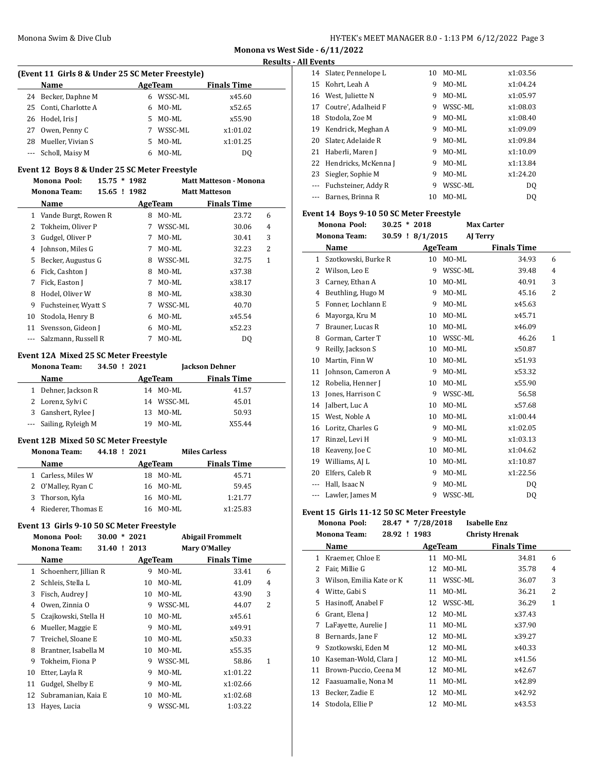**Monona vs West Side - 6/11/2022 Results - All Events**

| (Event 11 Girls 8 & Under 25 SC Meter Freestyle) |                       |    |         |                    |  |  |  |  |  |  |
|--------------------------------------------------|-----------------------|----|---------|--------------------|--|--|--|--|--|--|
|                                                  | <b>Name</b>           |    | AgeTeam | <b>Finals Time</b> |  |  |  |  |  |  |
|                                                  | 24 Becker, Daphne M   | 6  | WSSC-ML | x45.60             |  |  |  |  |  |  |
|                                                  | 25 Conti, Charlotte A | 6  | MO-ML   | x52.65             |  |  |  |  |  |  |
|                                                  | 26 Hodel, Iris J      | 5. | MO-ML   | x55.90             |  |  |  |  |  |  |
|                                                  | 27 Owen, Penny C      | 7  | WSSC-ML | x1:01.02           |  |  |  |  |  |  |
| 28                                               | Mueller, Vivian S     | 5. | MO-ML   | x1:01.25           |  |  |  |  |  |  |
|                                                  | --- Scholl, Maisy M   | 6  | MO-ML   | DO                 |  |  |  |  |  |  |

# **Event 12 Boys 8 & Under 25 SC Meter Freestyle**

|              | Monona Pool:<br>15.75 |              | 1982<br>* | <b>Matt Matteson - Monona</b> |                      |              |
|--------------|-----------------------|--------------|-----------|-------------------------------|----------------------|--------------|
|              | <b>Monona Team:</b>   | 15.65 ! 1982 |           |                               | <b>Matt Matteson</b> |              |
|              | Name                  |              |           | AgeTeam                       | <b>Finals Time</b>   |              |
| $\mathbf{1}$ | Vande Burgt, Rowen R  |              | 8         | MO-ML                         | 23.72                | 6            |
| 2            | Tokheim, Oliver P     |              | 7         | WSSC-ML                       | 30.06                | 4            |
| 3            | Gudgel, Oliver P      |              | 7         | MO-ML                         | 30.41                | 3            |
| 4            | Johnson, Miles G      |              | 7         | MO-ML                         | 32.23                | 2            |
| 5            | Becker, Augustus G    |              | 8         | WSSC-ML                       | 32.75                | $\mathbf{1}$ |
| 6            | Fick, Cashton J       |              | 8         | MO-ML                         | x37.38               |              |
| 7            | Fick, Easton J        |              | 7         | MO-ML                         | x38.17               |              |
| 8            | Hodel, Oliver W       |              | 8         | MO-ML                         | x38.30               |              |
| 9            | Fuchsteiner, Wyatt S  |              | 7         | WSSC-ML                       | 40.70                |              |
| 10           | Stodola, Henry B      |              | 6         | MO-ML                         | x45.54               |              |
| 11           | Svensson, Gideon J    |              | 6         | MO-ML                         | x52.23               |              |
|              | Salzmann, Russell R   |              | 7         | MO-ML                         | DQ                   |              |

# **Event 12A Mixed 25 SC Meter Freestyle**

|  | <b>Monona Team:</b>    |  | 34.50 ! 2021 |            |                    | <b>Jackson Dehner</b> |  |
|--|------------------------|--|--------------|------------|--------------------|-----------------------|--|
|  | <b>Name</b>            |  | AgeTeam      |            | <b>Finals Time</b> |                       |  |
|  | 1 Dehner, Jackson R    |  |              | 14 MO-ML   | 41.57              |                       |  |
|  | 2 Lorenz, Sylvi C      |  |              | 14 WSSC-ML | 45.01              |                       |  |
|  | 3 Ganshert, Rylee J    |  |              | 13 MO-ML   | 50.93              |                       |  |
|  | --- Sailing, Ryleigh M |  | 19           | MO-ML      | X55.44             |                       |  |

# **Event 12B Mixed 50 SC Meter Freestyle**

| <b>Monona Team:</b>  | 44.18 ! 2021 |         |          | <b>Miles Carless</b> |  |
|----------------------|--------------|---------|----------|----------------------|--|
| <b>Name</b>          |              | AgeTeam |          | <b>Finals Time</b>   |  |
| 1 Carless, Miles W   |              | 18.     | MO-ML    | 45.71                |  |
| 2 O'Malley, Ryan C   |              |         | 16 MO-ML | 59.45                |  |
| 3 Thorson, Kyla      |              |         | 16 MO-ML | 1:21.77              |  |
| 4 Riederer, Thomas E |              | 16.     | MO-ML    | x1:25.83             |  |

#### **Event 13 Girls 9-10 50 SC Meter Freestyle**

| Monona Pool: |                       | $30.00 * 2021$ |    |         | <b>Abigail Frommelt</b> |   |
|--------------|-----------------------|----------------|----|---------|-------------------------|---|
|              | <b>Monona Team:</b>   | 31.40 ! 2013   |    |         | Mary O'Malley           |   |
|              | Name                  |                |    | AgeTeam | <b>Finals Time</b>      |   |
| 1            | Schoenherr, Jillian R |                | 9  | MO-ML   | 33.41                   | 6 |
| 2            | Schleis, Stella L     |                | 10 | MO-ML   | 41.09                   | 4 |
| 3            | Fisch, Audrey J       |                | 10 | MO-ML   | 43.90                   | 3 |
| 4            | Owen, Zinnia O        |                | 9  | WSSC-ML | 44.07                   | 2 |
| 5            | Czajkowski, Stella H  |                | 10 | MO-ML   | x45.61                  |   |
| 6            | Mueller, Maggie E     |                | 9  | MO-ML   | x49.91                  |   |
| 7            | Treichel, Sloane E    |                | 10 | MO-ML   | x50.33                  |   |
| 8            | Brantner, Isabella M  |                | 10 | MO-ML   | x55.35                  |   |
| 9            | Tokheim, Fiona P      |                | 9  | WSSC-ML | 58.86                   | 1 |
| 10           | Etter, Layla R        |                | 9  | MO-ML   | x1:01.22                |   |
| 11           | Gudgel, Shelby E      |                | 9  | MO-ML   | x1:02.66                |   |
| 12           | Subramanian, Kaia E   |                | 10 | MO-ML   | x1:02.68                |   |
| 13           | Hayes, Lucia          |                | 9  | WSSC-ML | 1:03.22                 |   |

|          | 14 Slater, Pennelope L  | 10 | MO-ML   | x1:03.56       |
|----------|-------------------------|----|---------|----------------|
| 15       | Kohrt, Leah A           | 9  | MO-ML   | x1:04.24       |
|          | 16 West, Juliette N     | 9  | MO-ML   | x1:05.97       |
| 17       | Coutre', Adalheid F     | 9  | WSSC-ML | x1:08.03       |
| 18       | Stodola, Zoe M          | 9  | MO-ML   | x1:08.40       |
| 19       | Kendrick, Meghan A      | 9  | MO-ML   | x1:09.09       |
| 20       | Slater, Adelaide R      | 9  | MO-ML   | x1:09.84       |
| 21       | Haberli, Maren J        | 9  | MO-ML   | x1:10.09       |
|          | 22 Hendricks, McKenna J | 9  | MO-ML   | x1:13.84       |
| 23       | Siegler, Sophie M       | 9  | MO-ML   | x1:24.20       |
| $\cdots$ | Fuchsteiner, Addy R     | 9  | WSSC-ML | DO.            |
| ---      | Barnes, Brinna R        | 10 | MO-ML   | D <sub>0</sub> |

# **Event 14 Boys 9-10 50 SC Meter Freestyle**

|              | <b>Monona Pool:</b> | $30.25 * 2018$ |                  |                | <b>Max Carter</b>  |              |
|--------------|---------------------|----------------|------------------|----------------|--------------------|--------------|
|              | <b>Monona Team:</b> |                | 30.59 ! 8/1/2015 |                | AJ Terry           |              |
|              | Name                |                |                  | <b>AgeTeam</b> | <b>Finals Time</b> |              |
| $\mathbf{1}$ | Szotkowski, Burke R |                | 10               | MO-ML          | 34.93              | 6            |
| 2            | Wilson, Leo E       |                | 9                | WSSC-ML        | 39.48              | 4            |
| 3            | Carney, Ethan A     |                | 10               | MO-ML          | 40.91              | 3            |
| 4            | Beuthling, Hugo M   |                | 9                | MO-ML          | 45.16              | 2            |
| 5            | Fonner, Lochlann E  |                | 9                | MO-ML          | x45.63             |              |
| 6            | Mayorga, Kru M      |                | 10               | MO-ML          | x45.71             |              |
| 7            | Brauner, Lucas R    |                | 10               | MO-ML          | x46.09             |              |
| 8            | Gorman, Carter T    |                | 10               | WSSC-ML        | 46.26              | $\mathbf{1}$ |
| 9            | Reilly, Jackson S   |                | 10               | MO-ML          | x50.87             |              |
| 10           | Martin, Finn W      |                | 10               | MO-ML          | x51.93             |              |
| 11           | Johnson, Cameron A  |                | 9                | MO-ML          | x53.32             |              |
| 12           | Robelia, Henner J   |                | 10               | MO-ML          | x55.90             |              |
| 13           | Jones, Harrison C   |                | 9                | WSSC-ML        | 56.58              |              |
| 14           | Jalbert, Luc A      |                | 10               | MO-ML          | x57.68             |              |
| 15           | West, Noble A       |                | 10               | MO-ML          | x1:00.44           |              |
| 16           | Loritz, Charles G   |                | 9                | MO-ML          | x1:02.05           |              |
| 17           | Rinzel, Levi H      |                | 9                | MO-ML          | x1:03.13           |              |
| 18           | Keaveny, Joe C      |                | 10               | MO-ML          | x1:04.62           |              |
| 19           | Williams, AJ L      |                | 10               | MO-ML          | x1:10.87           |              |
| 20           | Elfers, Caleb R     |                | 9                | MO-ML          | x1:22.56           |              |
| ---          | Hall, Isaac N       |                | 9                | MO-ML          | DQ                 |              |
| $---$        | Lawler, James M     |                | 9                | WSSC-ML        | DQ                 |              |

# **Event 15 Girls 11-12 50 SC Meter Freestyle**

|    | 28.47 * 7/28/2018<br>Monona Pool:   |    |         | <b>Isabelle Enz</b>   |   |
|----|-------------------------------------|----|---------|-----------------------|---|
|    | <b>Monona Team:</b><br>28.92 ! 1983 |    |         | <b>Christy Hrenak</b> |   |
|    | Name                                |    | AgeTeam | Finals Time           |   |
| 1  | Kraemer, Chloe E                    | 11 | MO-ML   | 34.81                 | 6 |
| 2  | Fair, Millie G                      | 12 | MO-ML   | 35.78                 | 4 |
| 3  | Wilson, Emilia Kate or K            | 11 | WSSC-ML | 36.07                 | 3 |
| 4  | Witte, Gabi S                       | 11 | MO-ML   | 36.21                 | 2 |
| 5  | Hasinoff, Anabel F                  | 12 | WSSC-ML | 36.29                 | 1 |
| 6  | Grant, Elena J                      | 12 | MO-ML   | x37.43                |   |
| 7  | LaFayette, Aurelie J                | 11 | MO-ML   | x37.90                |   |
| 8  | Bernards, Jane F                    | 12 | MO-ML   | x39.27                |   |
| 9  | Szotkowski, Eden M                  | 12 | MO-ML   | x40.33                |   |
| 10 | Kaseman-Wold, Clara J               | 12 | MO-ML   | x41.56                |   |
| 11 | Brown-Puccio, Ceena M               | 12 | MO-ML   | x42.67                |   |
| 12 | Faasuamalie, Nona M                 | 11 | MO-ML   | x42.89                |   |
| 13 | Becker, Zadie E                     | 12 | MO-ML   | x42.92                |   |
| 14 | Stodola, Ellie P                    | 12 | MO-ML   | x43.53                |   |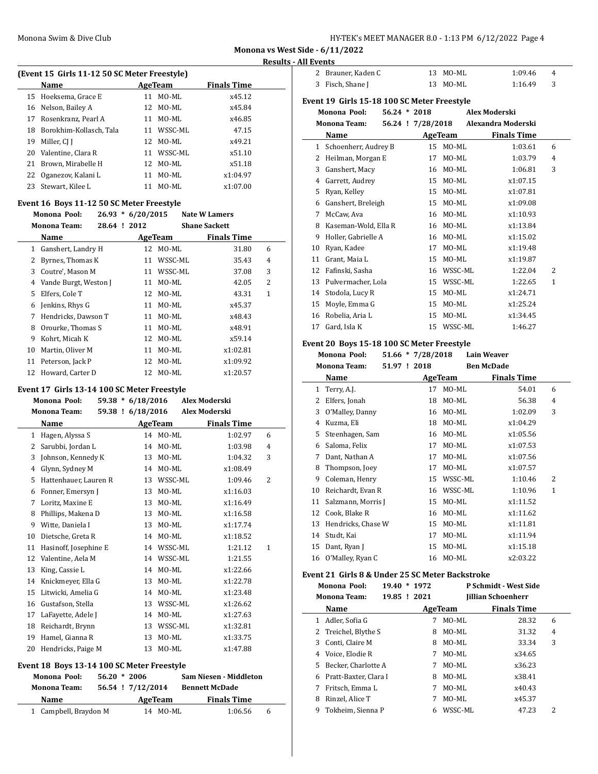| HY-TEK's MEET MANAGER 8.0 - 1:13 PM 6/12/2022 Page 4 |  |  |  |
|------------------------------------------------------|--|--|--|
|------------------------------------------------------|--|--|--|

# **Results - All Events**

# **(Event 15 Girls 11-12 50 SC Meter Freestyle)**

|    | Name                    |    | AgeTeam    | <b>Finals Time</b> |  |
|----|-------------------------|----|------------|--------------------|--|
|    | 15 Hoeksema, Grace E    | 11 | MO-ML      | x45.12             |  |
|    | 16 Nelson, Bailey A     |    | 12 MO-ML   | x45.84             |  |
| 17 | Rosenkranz, Pearl A     | 11 | MO-ML      | x46.85             |  |
| 18 | Borokhim-Kollasch, Tala |    | 11 WSSC-ML | 47.15              |  |
| 19 | Miller, CI I            | 12 | MO-ML      | x49.21             |  |
|    | 20 Valentine, Clara R   |    | 11 WSSC-ML | x51.10             |  |
| 21 | Brown, Mirabelle H      |    | 12 MO-ML   | x51.18             |  |
|    | 22 Oganezov, Kalani L   | 11 | $MO-ML$    | x1:04.97           |  |
| 23 | Stewart, Kilee L        | 11 | MO-ML      | x1:07.00           |  |

# **Event 16 Boys 11-12 50 SC Meter Freestyle**

|    | Monona Pool:          |              | $26.93 * 6/20/2015$ |          | <b>Nate W Lamers</b> |   |  |
|----|-----------------------|--------------|---------------------|----------|----------------------|---|--|
|    | <b>Monona Team:</b>   | 28.64 ! 2012 |                     |          | <b>Shane Sackett</b> |   |  |
|    | Name                  |              |                     | AgeTeam  | <b>Finals Time</b>   |   |  |
| 1  | Ganshert, Landry H    |              |                     | 12 MO-ML | 31.80                | 6 |  |
| 2  | Byrnes, Thomas K      |              | 11                  | WSSC-ML  | 35.43                | 4 |  |
| 3  | Coutre', Mason M      |              | 11                  | WSSC-ML  | 37.08                | 3 |  |
| 4  | Vande Burgt, Weston J |              | 11                  | MO-ML    | 42.05                | 2 |  |
| 5  | Elfers, Cole T        |              | 12                  | MO-ML    | 43.31                | 1 |  |
| 6  | Jenkins, Rhys G       |              | 11                  | MO-ML    | x45.37               |   |  |
| 7  | Hendricks, Dawson T   |              | 11                  | MO-ML    | x48.43               |   |  |
| 8  | Orourke, Thomas S     |              | 11                  | MO-ML    | x48.91               |   |  |
| 9  | Kohrt, Micah K        |              | 12                  | MO-ML    | x59.14               |   |  |
| 10 | Martin, Oliver M      |              | 11                  | MO-ML    | x1:02.81             |   |  |
| 11 | Peterson, Jack P      |              | 12                  | MO-ML    | x1:09.92             |   |  |
| 12 | Howard, Carter D      |              | 12                  | MO-ML    | x1:20.57             |   |  |

#### **Event 17 Girls 13-14 100 SC Meter Freestyle**

|    | Monona Pool:          | $59.38 * 6/18/2016$ |                | <b>Alex Moderski</b> |                |
|----|-----------------------|---------------------|----------------|----------------------|----------------|
|    | <b>Monona Team:</b>   | 59.38 ! 6/18/2016   |                | Alex Moderski        |                |
|    | Name                  |                     | <b>AgeTeam</b> | <b>Finals Time</b>   |                |
| 1  | Hagen, Alyssa S       |                     | 14 MO-ML       | 1:02.97              | 6              |
| 2  | Sarubbi, Jordan L     | 14                  | MO-ML          | 1:03.98              | 4              |
| 3  | Johnson, Kennedy K    | 13                  | MO-ML          | 1:04.32              | 3              |
| 4  | Glynn, Sydney M       | 14                  | MO-ML          | x1:08.49             |                |
| 5  | Hattenhauer, Lauren R | 13                  | WSSC-ML        | 1:09.46              | $\overline{2}$ |
| 6  | Fonner, Emersyn J     | 13                  | MO-ML          | x1:16.03             |                |
| 7  | Loritz. Maxine E      | 13                  | MO-ML          | x1:16.49             |                |
| 8  | Phillips, Makena D    | 13                  | MO-ML          | x1:16.58             |                |
| 9  | Witte, Daniela I      | 13                  | MO-ML          | x1:17.74             |                |
| 10 | Dietsche, Greta R     | 14                  | MO-ML          | x1:18.52             |                |
| 11 | Hasinoff, Josephine E | 14                  | WSSC-ML        | 1:21.12              | $\mathbf{1}$   |
| 12 | Valentine, Aela M     | 14                  | WSSC-ML        | 1:21.55              |                |
| 13 | King, Cassie L        | 14                  | MO-ML          | x1:22.66             |                |
| 14 | Knickmeyer, Ella G    | 13                  | MO-ML          | x1:22.78             |                |
| 15 | Litwicki, Amelia G    | 14                  | MO-ML          | x1:23.48             |                |
| 16 | Gustafson, Stella     | 13                  | WSSC-ML        | x1:26.62             |                |
| 17 | LaFayette, Adele J    | 14                  | MO-ML          | x1:27.63             |                |
| 18 | Reichardt, Brynn      | 13                  | WSSC-ML        | x1:32.81             |                |
| 19 | Hamel, Gianna R       | 13                  | MO-ML          | x1:33.75             |                |
| 20 | Hendricks, Paige M    | 13                  | MO-ML          | x1:47.88             |                |

# **Event 18 Boys 13-14 100 SC Meter Freestyle**

| Monona Pool:          | $56.20 * 2006$    |         |          | Sam Niesen - Middleton |   |
|-----------------------|-------------------|---------|----------|------------------------|---|
| <b>Monona Team:</b>   | 56.54 ! 7/12/2014 |         |          | <b>Bennett McDade</b>  |   |
| Name                  |                   | AgeTeam |          | <b>Finals Time</b>     |   |
| 1 Campbell, Braydon M |                   |         | 14 MO-ML | 1:06.56                | 6 |

| 2 Brauner, Kaden C | 13 MO-ML | 1:09.46<br>4 |  |
|--------------------|----------|--------------|--|
| 3 Fisch, Shane J   | 13 MO-ML | 1:16.49      |  |

# **Event 19 Girls 15-18 100 SC Meter Freestyle**

|    | Monona Pool:         | $56.24 * 2018$ |                   |         | Alex Moderski      |              |
|----|----------------------|----------------|-------------------|---------|--------------------|--------------|
|    | <b>Monona Team:</b>  |                | 56.24 ! 7/28/2018 |         | Alexandra Moderski |              |
|    | Name                 |                |                   | AgeTeam | <b>Finals Time</b> |              |
| 1  | Schoenherr, Audrey B |                | 15                | MO-ML   | 1:03.61            | 6            |
| 2  | Heilman, Morgan E    |                | 17                | MO-ML   | 1:03.79            | 4            |
| 3  | Ganshert, Macy       |                | 16                | MO-ML   | 1:06.81            | 3            |
| 4  | Garrett, Audrey      |                | 15                | MO-ML   | x1:07.15           |              |
| 5  | Ryan, Kelley         |                | 15                | MO-ML   | x1:07.81           |              |
| 6  | Ganshert, Breleigh   |                | 15                | MO-ML   | x1:09.08           |              |
| 7  | McCaw, Ava           |                | 16                | MO-ML   | x1:10.93           |              |
| 8  | Kaseman-Wold, Ella R |                | 16                | MO-ML   | x1:13.84           |              |
| 9  | Holler, Gabrielle A  |                | 16                | MO-ML   | x1:15.02           |              |
| 10 | Ryan, Kadee          |                | 17                | MO-ML   | x1:19.48           |              |
| 11 | Grant, Maia L        |                | 15                | MO-ML   | x1:19.87           |              |
| 12 | Fafinski, Sasha      |                | 16                | WSSC-ML | 1:22.04            | 2            |
| 13 | Pulvermacher, Lola   |                | 15                | WSSC-ML | 1:22.65            | $\mathbf{1}$ |
| 14 | Stodola, Lucy R      |                | 15                | MO-ML   | x1:24.71           |              |
| 15 | Moyle, Emma G        |                | 15                | MO-ML   | x1:25.24           |              |
| 16 | Robelia, Aria L      |                | 15                | MO-ML   | x1:34.45           |              |
| 17 | Gard, Isla K         |                | 15                | WSSC-ML | 1:46.27            |              |

# **Event 20 Boys 15-18 100 SC Meter Freestyle**

|    | Monona Pool:        | $51.66 * 7/28/2018$ |         | <b>Lain Weaver</b> |   |
|----|---------------------|---------------------|---------|--------------------|---|
|    | <b>Monona Team:</b> | 51.97 ! 2018        |         | <b>Ben McDade</b>  |   |
|    | Name                |                     | AgeTeam | <b>Finals Time</b> |   |
| 1  | Terry, A.J.         | 17                  | MO-ML   | 54.01              | 6 |
| 2  | Elfers, Jonah       | 18                  | MO-ML   | 56.38              | 4 |
| 3  | O'Malley, Danny     | 16                  | MO-ML   | 1:02.09            | 3 |
| 4  | Kuzma, Eli          | 18                  | MO-ML   | x1:04.29           |   |
| 5  | Steenhagen, Sam     | 16                  | MO-ML   | x1:05.56           |   |
| 6  | Saloma, Felix       | 17                  | MO-ML   | x1:07.53           |   |
| 7  | Dant, Nathan A      | 17                  | MO-ML   | x1:07.56           |   |
| 8  | Thompson, Joey      | 17                  | MO-ML   | x1:07.57           |   |
| 9  | Coleman, Henry      | 15                  | WSSC-ML | 1:10.46            | 2 |
| 10 | Reichardt, Evan R   | 16                  | WSSC-ML | 1:10.96            | 1 |
| 11 | Salzmann, Morris J  | 15                  | MO-ML   | x1:11.52           |   |
| 12 | Cook, Blake R       | 16                  | MO-ML   | x1:11.62           |   |
| 13 | Hendricks, Chase W  | 15                  | MO-ML   | x1:11.81           |   |
| 14 | Studt, Kai          | 17                  | MO-ML   | x1:11.94           |   |
| 15 | Dant, Ryan J        | 15                  | MO-ML   | x1:15.18           |   |
| 16 | O'Malley, Ryan C    | 16                  | MO-ML   | x2:03.22           |   |

# **Event 21 Girls 8 & Under 25 SC Meter Backstroke**

|    | Monona Pool:            | $19.40 * 1972$ |   |         | P Schmidt - West Side     |   |
|----|-------------------------|----------------|---|---------|---------------------------|---|
|    | <b>Monona Team:</b>     | 19.85 ! 2021   |   |         | <b>Jillian Schoenherr</b> |   |
|    | Name                    |                |   | AgeTeam | <b>Finals Time</b>        |   |
| 1  | Adler, Sofia G          |                | 7 | $MO-ML$ | 28.32                     | 6 |
| 2  | Treichel, Blythe S      |                | 8 | $MO-ML$ | 31.32                     | 4 |
| 3  | Conti, Claire M         |                | 8 | $MO-ML$ | 33.34                     | 3 |
| 4  | Voice. Elodie R         |                | 7 | $MO-ML$ | x34.65                    |   |
| 5. | Becker, Charlotte A     |                | 7 | $MO-ML$ | x36.23                    |   |
|    | 6 Pratt-Baxter, Clara I |                | 8 | MO-ML   | x38.41                    |   |
| 7  | Fritsch, Emma L         |                | 7 | MO-ML   | x40.43                    |   |
| 8  | Rinzel, Alice T         |                | 7 | MO-ML   | x45.37                    |   |
| 9  | Tokheim, Sienna P       |                | 6 | WSSC-ML | 47.23                     | 2 |
|    |                         |                |   |         |                           |   |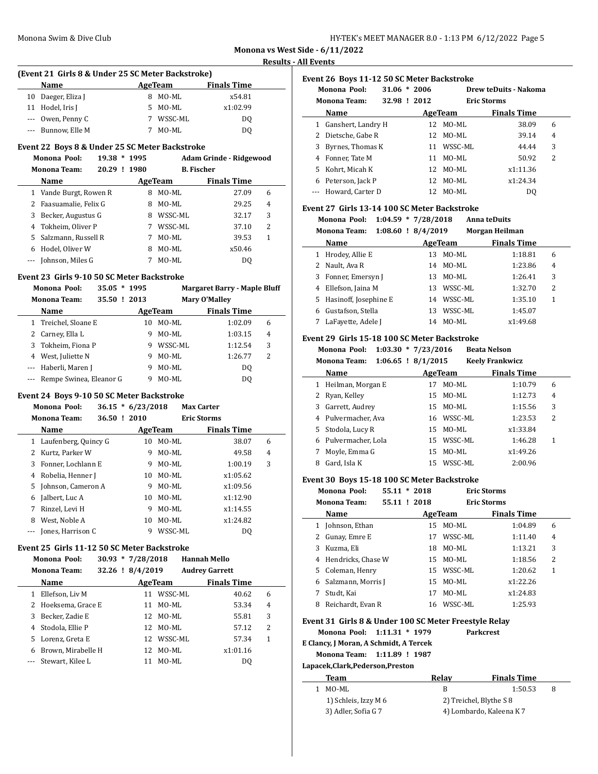| HY-TEK's MEET MANAGER 8.0 - 1:13 PM 6/12/2022 Page 5 |  |  |  |
|------------------------------------------------------|--|--|--|
|------------------------------------------------------|--|--|--|

 $\overline{\phantom{a}}$ 

 $\overline{a}$ 

# **Results - All Events**

| (Event 21 Girls 8 & Under 25 SC Meter Backstroke) |                    |   |         |                    |  |  |  |
|---------------------------------------------------|--------------------|---|---------|--------------------|--|--|--|
|                                                   | <b>Name</b>        |   | AgeTeam | <b>Finals Time</b> |  |  |  |
|                                                   | 10 Daeger, Eliza J | 8 | MO-ML   | x54.81             |  |  |  |
|                                                   | 11 Hodel, Iris J   |   | 5 MO-ML | x1:02.99           |  |  |  |
|                                                   | --- Owen, Penny C  |   | WSSC-ML | DO.                |  |  |  |
|                                                   | --- Bunnow, Elle M |   | $MO-ML$ | DΟ                 |  |  |  |

# **Event 22 Boys 8 & Under 25 SC Meter Backstroke**

|    | EVEIN 22 DOYS 0 & UNUEL 25 SC METEL DALKSH OKE |           |         |         |                         |   |  |  |
|----|------------------------------------------------|-----------|---------|---------|-------------------------|---|--|--|
|    | 19.38<br>Monona Pool:                          |           | $*1995$ |         | Adam Grinde - Ridgewood |   |  |  |
|    | <b>Monona Team:</b>                            | $20.29$ ! | 1980    |         | <b>B.</b> Fischer       |   |  |  |
|    | <b>Name</b>                                    |           |         | AgeTeam | <b>Finals Time</b>      |   |  |  |
|    | 1 Vande Burgt, Rowen R                         |           | 8       | MO-ML   | 27.09                   | 6 |  |  |
|    | 2 Faasuamalie, Felix G                         |           | 8       | $MO-ML$ | 29.25                   | 4 |  |  |
| 3  | Becker, Augustus G                             |           | 8       | WSSC-ML | 32.17                   | 3 |  |  |
|    | 4 Tokheim, Oliver P                            |           |         | WSSC-ML | 37.10                   | 2 |  |  |
| 5. | Salzmann, Russell R                            |           | 7       | MO-ML   | 39.53                   | 1 |  |  |
| 6  | Hodel, Oliver W                                |           | 8       | MO-ML   | x50.46                  |   |  |  |
|    | Johnson, Miles G                               |           |         | MO-ML   | D <sub>0</sub>          |   |  |  |

#### **Event 23 Girls 9-10 50 SC Meter Backstroke**

|          | Monona Pool:            | $35.05 * 1995$ |      |         | <b>Margaret Barry - Maple Bluff</b> |                |
|----------|-------------------------|----------------|------|---------|-------------------------------------|----------------|
|          | <b>Monona Team:</b>     | $35.50$ !      | 2013 |         | Mary O'Malley                       |                |
|          | <b>Name</b>             |                |      | AgeTeam | <b>Finals Time</b>                  |                |
|          | 1 Treichel, Sloane E    |                | 10   | MO-ML   | 1:02.09                             | 6              |
|          | 2 Carney, Ella L        |                | 9    | MO-ML   | 1:03.15                             | $\overline{4}$ |
| 3        | Tokheim, Fiona P        |                | 9    | WSSC-ML | 1:12.54                             | 3              |
| 4        | West, Juliette N        |                | 9    | MO-ML   | 1:26.77                             | 2              |
| $\cdots$ | Haberli, Maren J        |                | 9    | MO-ML   | DO.                                 |                |
|          | Rempe Swinea, Eleanor G |                | q    | MO-ML   | DO                                  |                |

#### **Event 24 Boys 9-10 50 SC Meter Backstroke**

|   | Monona Pool:<br><b>Monona Team:</b> | 36.50 ! 2010 | $36.15 * 6/23/2018$ |         | <b>Max Carter</b><br><b>Eric Storms</b> |                    |   |
|---|-------------------------------------|--------------|---------------------|---------|-----------------------------------------|--------------------|---|
|   | Name                                |              |                     | AgeTeam |                                         | <b>Finals Time</b> |   |
|   | 1 Laufenberg, Quincy G              |              | 10                  | MO-ML   |                                         | 38.07              | 6 |
|   | 2 Kurtz, Parker W                   |              | 9                   | $MO-ML$ |                                         | 49.58              | 4 |
| 3 | Fonner, Lochlann E                  |              | 9                   | MO-ML   |                                         | 1:00.19            | 3 |
| 4 | Robelia, Henner J                   |              | 10.                 | MO-ML   |                                         | x1:05.62           |   |
|   | 5 Johnson, Cameron A                |              | 9                   | $MO-ML$ |                                         | x1:09.56           |   |
| 6 | Jalbert, Luc A                      |              | 10                  | MO-ML   |                                         | x1:12.90           |   |
| 7 | Rinzel, Levi H                      |              | 9                   | MO-ML   |                                         | x1:14.55           |   |
| 8 | West. Noble A                       |              | 10                  | MO-ML   |                                         | x1:24.82           |   |
|   | Jones, Harrison C                   |              | 9                   | WSSC-ML |                                         | DO.                |   |

# **Event 25 Girls 11-12 50 SC Meter Backstroke**

#### **Monona Pool: 30.93 \* 7/28/2018 Hannah Mello**

|    | <b>Monona Team:</b> | 32.26 ! 8/4/2019 |            | <b>Audrey Garrett</b> |   |
|----|---------------------|------------------|------------|-----------------------|---|
|    | <b>Name</b>         |                  | AgeTeam    | <b>Finals Time</b>    |   |
|    | Ellefson, Liv M     | 11               | WSSC-ML    | 40.62                 | 6 |
|    | 2 Hoeksema, Grace E | 11               | MO-ML      | 53.34                 | 4 |
| 3  | Becker, Zadie E     |                  | 12 MO-ML   | 55.81                 | 3 |
| 4  | Stodola, Ellie P    |                  | 12 MO-ML   | 57.12                 | 2 |
| 5. | Lorenz, Greta E     |                  | 12 WSSC-ML | 57.34                 | 1 |
| 6  | Brown, Mirabelle H  |                  | 12 MO-ML   | x1:01.16              |   |
|    | Stewart. Kilee L    | 11               | MO-ML      | DO                    |   |

| Event 26 Boys 11-12 50 SC Meter Backstroke |                      |                |                    |                       |                |  |  |  |  |
|--------------------------------------------|----------------------|----------------|--------------------|-----------------------|----------------|--|--|--|--|
| Monona Pool:                               |                      | $31.06 * 2006$ |                    | Drew teDuits - Nakoma |                |  |  |  |  |
| <b>Monona Team:</b>                        |                      | 32.98 ! 2012   | <b>Eric Storms</b> |                       |                |  |  |  |  |
|                                            | Name                 |                | AgeTeam            | <b>Finals Time</b>    |                |  |  |  |  |
| 1                                          | Ganshert, Landry H   | 12             | $MO-ML$            | 38.09                 | 6              |  |  |  |  |
|                                            | 2 Dietsche, Gabe R   |                | 12 MO-ML           | 39.14                 | $\overline{4}$ |  |  |  |  |
| 3                                          | Byrnes, Thomas K     |                | 11 WSSC-ML         | 44.44                 | 3              |  |  |  |  |
|                                            | 4 Fonner. Tate M     | 11             | MO-ML              | 50.92                 | 2              |  |  |  |  |
| 5.                                         | Kohrt, Micah K       |                | 12 MO-ML           | x1:11.36              |                |  |  |  |  |
| 6                                          | Peterson, Jack P     |                | 12 MO-ML           | x1:24.34              |                |  |  |  |  |
|                                            | --- Howard, Carter D | 12             | MO-ML              | DO.                   |                |  |  |  |  |

# **Event 27 Girls 13-14 100 SC Meter Backstroke**

**Monona Pool: 1:04.59 \* 7/28/2018 Anna teDuits**

| Monona Team: |  | $1:08.60$ ! $8/4/2019$ | Morgan Heilman |
|--------------|--|------------------------|----------------|
|              |  |                        |                |

|   | Name                    | AgeTeam |            | <b>Finals Time</b> |   |
|---|-------------------------|---------|------------|--------------------|---|
| 1 | Hrodey, Allie E         | 13      | MO-ML      | 1:18.81            | 6 |
|   | Nault, Ava R            |         | 14 MO-ML   | 1:23.86            | 4 |
|   | Fonner, Emersyn J       | 13.     | MO-ML      | 1:26.41            | 3 |
| 4 | Ellefson, Jaina M       | 13.     | WSSC-ML    | 1:32.70            | 2 |
|   | 5 Hasinoff, Josephine E |         | 14 WSSC-ML | 1:35.10            | 1 |
|   | Gustafson, Stella       | 13      | WSSC-ML    | 1:45.07            |   |
|   | LaFayette, Adele J      | 14      | $MO-ML$    | x1:49.68           |   |

# **Event 29 Girls 15-18 100 SC Meter Backstroke**

**Monona Pool: 1:03.30 \* 7/23/2016 Beata Nelson**

| Monona Team: | $1:06.65$ ! $8/1/2015$ | <b>Keely Frankwicz</b> |
|--------------|------------------------|------------------------|
|              |                        |                        |

|   | Name                 | AgeTeam |            |          |                |
|---|----------------------|---------|------------|----------|----------------|
|   | 1 Heilman, Morgan E  | 17      | MO-ML      | 1:10.79  | 6              |
|   | 2 Ryan, Kelley       |         | 15 MO-ML   | 1:12.73  | $\overline{4}$ |
| 3 | Garrett, Audrey      |         | 15 MO-ML   | 1:15.56  | 3              |
|   | 4 Pulvermacher, Ava  |         | 16 WSSC-ML | 1:23.53  | 2              |
|   | 5 Stodola, Lucy R    |         | 15 MO-ML   | x1:33.84 |                |
|   | 6 Pulvermacher, Lola | 15.     | WSSC-ML    | 1:46.28  |                |
|   | Moyle, Emma G        | 15      | $MO-ML$    | x1:49.26 |                |
| 8 | Gard, Isla K         |         | 15 WSSC-ML | 2:00.96  |                |

#### **Event 30 Boys 15-18 100 SC Meter Backstroke**

|              | Monona Pool:        | 55.11 | $*2018$      |            | <b>Eric Storms</b> |                |  |
|--------------|---------------------|-------|--------------|------------|--------------------|----------------|--|
|              | <b>Monona Team:</b> |       | 55.11 ! 2018 |            | <b>Eric Storms</b> |                |  |
|              | Name                |       |              | AgeTeam    | <b>Finals Time</b> |                |  |
| $\mathbf{1}$ | Johnson, Ethan      |       | 15           | $MO-ML$    | 1:04.89            | 6              |  |
|              | Gunay, Emre E       |       | 17           | WSSC-ML    | 1:11.40            | $\overline{4}$ |  |
| 3            | Kuzma. Eli          |       | 18           | MO-ML      | 1:13.21            | 3              |  |
| 4            | Hendricks, Chase W  |       | 15           | MO-ML      | 1:18.56            | 2              |  |
|              | 5 Coleman, Henry    |       |              | 15 WSSC-ML | 1:20.62            | 1              |  |
| 6            | Salzmann, Morris J  |       | 15           | MO-ML      | x1:22.26           |                |  |
|              | Studt, Kai          |       | 17           | $MO-ML$    | x1:24.83           |                |  |
| 8            | Reichardt, Evan R   |       |              | 16 WSSC-ML | 1:25.93            |                |  |

# **Event 31 Girls 8 & Under 100 SC Meter Freestyle Relay**

**Monona Pool: 1:11.31 \* 1979 Parkcrest**

**E Clancy, J Moran, A Schmidt, A Tercek**

**Monona Team: 1:11.89 ! 1987**

#### **Lapacek,Clark,Pederson,Preston**

| Team                 | Relav                    | <b>Finals Time</b> |  |
|----------------------|--------------------------|--------------------|--|
| MO-ML                |                          | 1:50.53            |  |
| 1) Schleis, Izzy M 6 | 2) Treichel, Blythe S 8  |                    |  |
| 3) Adler, Sofia G 7  | 4) Lombardo, Kaleena K 7 |                    |  |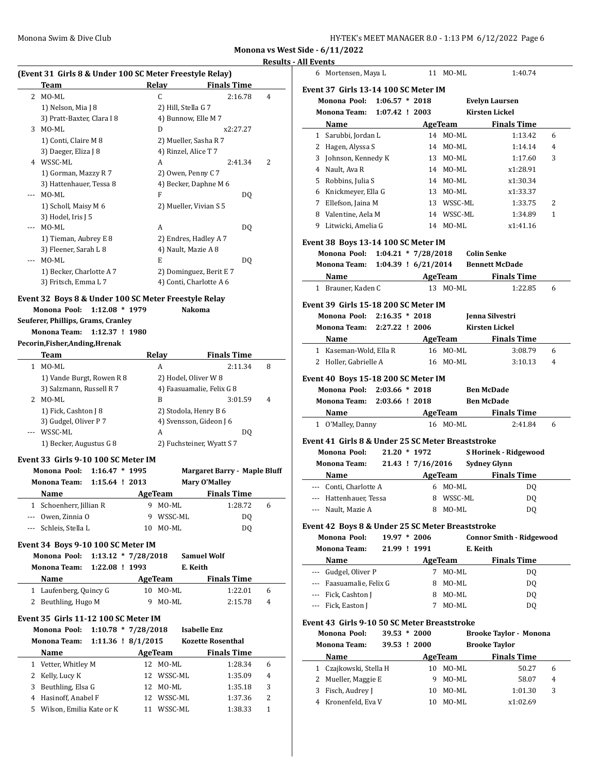#### **Results - All Events**

|                |                                                         |                        |                            |                                     | <u> Results - All Event</u> |
|----------------|---------------------------------------------------------|------------------------|----------------------------|-------------------------------------|-----------------------------|
|                | (Event 31 Girls 8 & Under 100 SC Meter Freestyle Relay) |                        |                            |                                     |                             |
|                | Team                                                    |                        | Relay                      | <b>Finals Time</b>                  |                             |
|                | 2 MO-ML                                                 |                        | $\mathsf{C}$               | 2:16.78                             | 4                           |
|                | 1) Nelson, Mia J 8                                      |                        | 2) Hill, Stella G 7        |                                     |                             |
|                | 3) Pratt-Baxter, Clara I 8                              |                        | 4) Bunnow, Elle M 7        |                                     |                             |
|                | 3 MO-ML                                                 |                        | D                          | x2:27.27                            |                             |
|                | 1) Conti, Claire M 8                                    |                        | 2) Mueller, Sasha R 7      |                                     |                             |
|                | 3) Daeger, Eliza J 8                                    |                        | 4) Rinzel, Alice T 7       |                                     |                             |
|                | 4 WSSC-ML                                               |                        | A                          | 2:41.34                             | 2                           |
|                | 1) Gorman, Mazzy R 7                                    |                        | 2) Owen, Penny C 7         |                                     |                             |
| --- MO-ML      | 3) Hattenhauer, Tessa 8                                 |                        | 4) Becker, Daphne M 6<br>F |                                     |                             |
|                |                                                         |                        |                            | DQ                                  |                             |
|                | 1) Scholl, Maisy M 6<br>3) Hodel, Iris J 5              |                        | 2) Mueller, Vivian S 5     |                                     |                             |
| $\overline{a}$ | MO-ML                                                   |                        | A                          | DQ                                  |                             |
|                | 1) Tieman, Aubrey E 8                                   |                        | 2) Endres, Hadley A 7      |                                     |                             |
|                | 3) Fleener, Sarah L 8                                   |                        | 4) Nault, Mazie A 8        |                                     |                             |
| $\cdots$       | MO-ML                                                   |                        | E                          | DQ                                  |                             |
|                | 1) Becker, Charlotte A 7                                |                        |                            | 2) Dominguez, Berit E 7             |                             |
|                | 3) Fritsch, Emma L 7                                    |                        | 4) Conti, Charlotte A 6    |                                     |                             |
|                |                                                         |                        |                            |                                     |                             |
|                | Event 32 Boys 8 & Under 100 SC Meter Freestyle Relay    |                        |                            |                                     |                             |
|                | Monona Pool:                                            | $1:12.08 * 1979$       |                            | <b>Nakoma</b>                       |                             |
|                | Seuferer, Phillips, Grams, Cranley                      |                        |                            |                                     |                             |
|                | <b>Monona Team:</b>                                     | 1:12.37 ! 1980         |                            |                                     |                             |
|                | Pecorin, Fisher, Anding, Hrenak                         |                        |                            |                                     |                             |
|                | Team                                                    |                        | Relay                      | <b>Finals Time</b>                  |                             |
|                | 1 MO-ML                                                 |                        | A                          | 2:11.34                             | 8                           |
|                | 1) Vande Burgt, Rowen R 8                               |                        | 2) Hodel, Oliver W 8       |                                     |                             |
|                | 3) Salzmann, Russell R 7                                |                        |                            | 4) Faasuamalie, Felix G 8           |                             |
|                | 2 MO-ML                                                 |                        | B                          | 3:01.59                             | 4                           |
|                | 1) Fick, Cashton J 8                                    |                        | 2) Stodola, Henry B 6      |                                     |                             |
|                | 3) Gudgel, Oliver P 7                                   |                        | 4) Svensson, Gideon J 6    |                                     |                             |
|                | --- WSSC-ML                                             |                        | A                          | DQ                                  |                             |
|                | 1) Becker, Augustus G 8                                 |                        |                            | 2) Fuchsteiner, Wyatt S 7           |                             |
|                | Event 33 Girls 9-10 100 SC Meter IM                     |                        |                            |                                     |                             |
|                | Monona Pool:                                            | $1:16.47 * 1995$       |                            | <b>Margaret Barry - Maple Bluff</b> |                             |
|                |                                                         |                        |                            |                                     |                             |
|                | Monona Team:                                            | 1:15.64 ! 2013         |                            | <b>Mary O'Malley</b>                |                             |
|                | Name                                                    |                        | AgeTeam                    | <b>Finals Time</b>                  |                             |
|                | 1 Schoenherr, Jillian R                                 |                        | 9 MO-ML                    | 1:28.72                             | 6                           |
|                | --- Owen, Zinnia O                                      |                        | 9 WSSC-ML                  | DQ                                  |                             |
|                | --- Schleis, Stella L                                   |                        | 10 MO-ML                   |                                     |                             |
|                |                                                         |                        |                            | DQ                                  |                             |
|                | Event 34 Boys 9-10 100 SC Meter IM                      |                        |                            |                                     |                             |
|                | Monona Pool:                                            | $1:13.12 * 7/28/2018$  |                            | <b>Samuel Wolf</b>                  |                             |
|                | Monona Team:                                            | 1:22.08 ! 1993         | E. Keith                   |                                     |                             |
|                | Name                                                    |                        | AgeTeam                    | <b>Finals Time</b>                  |                             |
|                | 1 Laufenberg, Quincy G                                  |                        | 10 MO-ML                   | 1:22.01                             | 6                           |
|                | 2 Beuthling, Hugo M                                     |                        | 9 MO-ML                    | 2:15.78                             | 4                           |
|                | Event 35 Girls 11-12 100 SC Meter IM                    |                        |                            |                                     |                             |
|                | Monona Pool:                                            |                        |                            | <b>Isabelle Enz</b>                 |                             |
|                | Monona Team:                                            | $1:10.78 * 7/28/2018$  |                            | <b>Kozette Rosenthal</b>            |                             |
|                |                                                         | $1:11.36$ ! $8/1/2015$ |                            |                                     |                             |
|                | Name                                                    |                        | AgeTeam                    | <b>Finals Time</b>                  |                             |
|                | 1 Vetter, Whitley M                                     |                        | 12 MO-ML                   | 1:28.34                             | 6                           |
|                | 2 Kelly, Lucy K                                         |                        | 12 WSSC-ML                 | 1:35.09                             | 4                           |
|                | 3 Beuthling, Elsa G                                     |                        | 12 MO-ML                   | 1:35.18                             | 3                           |
|                | 4 Hasinoff, Anabel F<br>5 Wilson, Emilia Kate or K      |                        | 12 WSSC-ML<br>11 WSSC-ML   | 1:37.36<br>1:38.33                  | 2<br>1                      |

| ll Events |                                                    |              |                |                |                                    |
|-----------|----------------------------------------------------|--------------|----------------|----------------|------------------------------------|
|           | 6 Mortensen, Maya L                                |              |                | 11 MO-ML       | 1:40.74                            |
|           | Event 37  Girls 13-14 100 SC Meter IM              |              |                |                |                                    |
|           | Monona Pool: 1:06.57 * 2018                        |              |                |                | <b>Evelyn Laursen</b>              |
|           | Monona Team: 1:07.42 ! 2003                        |              |                |                | <b>Kirsten Lickel</b>              |
|           | Name                                               |              |                | <b>AgeTeam</b> | <b>Finals Time</b>                 |
|           | 1 Sarubbi, Jordan L                                |              |                | 14 MO-ML       | 1:13.42<br>6                       |
|           | 2 Hagen, Alyssa S                                  |              |                | 14 MO-ML       | 4<br>1:14.14                       |
|           | 3 Johnson, Kennedy K                               |              |                | 13 MO-ML       | 1:17.60<br>3                       |
|           | 4 Nault, Ava R                                     |              |                | 14 MO-ML       | x1:28.91                           |
|           | 5 Robbins, Julia S                                 |              |                | 14 MO-ML       | x1:30.34                           |
|           | 6 Knickmeyer, Ella G                               |              |                | 13 MO-ML       | x1:33.37                           |
|           | 7 Ellefson, Jaina M                                |              |                | 13 WSSC-ML     | 1:33.75<br>2                       |
|           | 8 Valentine, Aela M                                |              |                | 14 WSSC-ML     | 1:34.89<br>1                       |
|           | 9 Litwicki, Amelia G                               |              |                | 14 MO-ML       | x1:41.16                           |
|           |                                                    |              |                |                |                                    |
|           | Event 38 Boys 13-14 100 SC Meter IM                |              |                |                |                                    |
|           | Monona Pool: 1:04.21 * 7/28/2018 Colin Senke       |              |                |                |                                    |
|           | <b>Monona Team:</b>                                |              |                |                | 1:04.39 ! 6/21/2014 Bennett McDade |
|           | Name                                               |              |                |                | AgeTeam Finals Time                |
|           | 1 Brauner, Kaden C                                 |              |                | 13 MO-ML       | 1:22.85<br>6                       |
|           | Event 39 Girls 15-18 200 SC Meter IM               |              |                |                |                                    |
|           | Monona Pool: 2:16.35 * 2018                        |              |                |                | Jenna Silvestri                    |
|           | Monona Team: 2:27.22 ! 2006                        |              |                |                | <b>Kirsten Lickel</b>              |
|           | Name                                               |              |                | AgeTeam        | <b>Finals Time</b>                 |
|           | 1 Kaseman-Wold, Ella R                             |              |                | 16 MO-ML       | 3:08.79<br>6                       |
|           | 2 Holler, Gabrielle A                              |              |                | 16 MO-ML       | 3:10.13<br>4                       |
|           |                                                    |              |                |                |                                    |
|           | Event 40  Boys 15-18 200 SC Meter IM               |              |                |                |                                    |
|           | Monona Pool: 2:03.66 * 2018                        |              |                |                | <b>Ben McDade</b>                  |
|           | Monona Team: 2:03.66 ! 2018                        |              |                |                | <b>Ben McDade</b>                  |
|           | Name                                               |              |                |                | AgeTeam Finals Time                |
|           | 1 O'Malley, Danny                                  |              |                | 16 MO-ML       | 2:41.84<br>6                       |
|           | Event 41  Girls 8 & Under 25 SC Meter Breaststroke |              |                |                |                                    |
|           | Monona Pool:                                       |              | 21.20 * 1972   |                | <b>SHorinek - Ridgewood</b>        |
|           | <b>Monona Team:</b>                                |              |                |                | 21.43 ! 7/16/2016 Sydney Glynn     |
|           | Name                                               |              |                | AgeTeam        | <b>Finals Time</b>                 |
|           | --- Conti, Charlotte A                             |              |                | 6 MO-ML        | DQ                                 |
|           | -- Hattenhauer, Tessa                              |              |                | 8 WSSC-ML      | DQ                                 |
|           | --- Nault, Mazie A                                 |              |                | 8 MO-ML        | DQ                                 |
|           |                                                    |              |                |                |                                    |
|           | Event 42 Boys 8 & Under 25 SC Meter Breaststroke   |              |                |                |                                    |
|           | Monona Pool:                                       |              | $19.97 * 2006$ |                | <b>Connor Smith - Ridgewood</b>    |
|           | <b>Monona Team:</b>                                | 21.99 ! 1991 |                |                | E. Keith                           |
|           | Name                                               |              |                | AgeTeam        | <b>Finals Time</b>                 |
|           | --- Gudgel, Oliver P                               |              | 7              | MO-ML          | DQ                                 |
|           | --- Faasuamalie, Felix G                           |              |                | 8 MO-ML        | DQ                                 |
|           | --- Fick, Cashton J                                |              |                | 8 MO-ML        | DQ                                 |
| ---       | Fick, Easton J                                     |              | 7              | MO-ML          | DQ                                 |
|           | Event 43  Girls 9-10 50 SC Meter Breaststroke      |              |                |                |                                    |
|           | Monona Pool:                                       |              | 39.53 * 2000   |                | <b>Brooke Taylor - Monona</b>      |
|           | <b>Monona Team:</b>                                | 39.53 ! 2000 |                |                | <b>Brooke Taylor</b>               |
|           |                                                    |              |                |                |                                    |
|           | Name                                               |              |                | AgeTeam        | <b>Finals Time</b>                 |
|           | 1 Czajkowski, Stella H                             |              |                | 10 MO-ML       | 50.27<br>6                         |
|           | 2 Mueller, Maggie E                                |              |                | 9 MO-ML        | 4<br>58.07                         |
| 3         | Fisch, Audrey J                                    |              |                | 10 MO-ML       | 1:01.30<br>3                       |
| 4         | Kronenfeld, Eva V                                  |              |                | 10 MO-ML       | x1:02.69                           |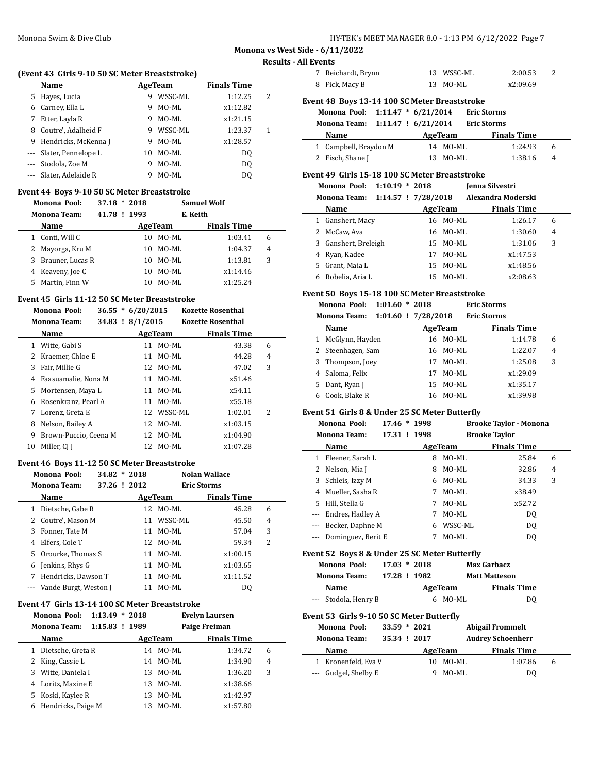| HY-TEK's MEET MANAGER 8.0 - 1:13 PM 6/12/2022 Page 7 |  |
|------------------------------------------------------|--|
|------------------------------------------------------|--|

 $\overline{a}$ 

#### **Results - All Events**

# **(Event 43 Girls 9-10 50 SC Meter Breaststroke)**

|   | Name                    |    | AgeTeam | <b>Finals Time</b> |   |  |
|---|-------------------------|----|---------|--------------------|---|--|
| 5 | Hayes, Lucia            | 9  | WSSC-ML | 1:12.25            | 2 |  |
| 6 | Carney, Ella L          | 9  | MO-ML   | x1:12.82           |   |  |
| 7 | Etter, Layla R          | 9  | MO-ML   | x1:21.15           |   |  |
| 8 | Coutre', Adalheid F     | 9  | WSSC-ML | 1:23.37            | 1 |  |
|   | 9 Hendricks, McKenna J  | 9  | MO-ML   | x1:28.57           |   |  |
|   | --- Slater, Pennelope L | 10 | MO-ML   | DO.                |   |  |
|   | Stodola, Zoe M          | 9  | MO-ML   | DO.                |   |  |
|   | --- Slater, Adelaide R  | 9  | MO-ML   | DO                 |   |  |

# **Event 44 Boys 9-10 50 SC Meter Breaststroke**

|   | Monona Pool:        | 37.18        | $*2018$ |         | <b>Samuel Wolf</b> |                |  |
|---|---------------------|--------------|---------|---------|--------------------|----------------|--|
|   | <b>Monona Team:</b> | 41.78 ! 1993 |         |         | E. Keith           |                |  |
|   | <b>Name</b>         |              |         | AgeTeam | <b>Finals Time</b> |                |  |
|   | Conti, Will C       |              | 10      | MO-ML   | 1:03.41            | 6              |  |
|   | Mayorga, Kru M      |              | 10      | MO-ML   | 1:04.37            | $\overline{4}$ |  |
| 3 | Brauner, Lucas R    |              | 10      | MO-ML   | 1:13.81            | 3              |  |
|   | 4 Keaveny, Joe C    |              | 10      | MO-ML   | x1:14.46           |                |  |
|   | Martin, Finn W      |              | 10      | MO-ML   | x1:25.24           |                |  |

### **Event 45 Girls 11-12 50 SC Meter Breaststroke**

|    | Monona Pool:          | $36.55 * 6/20/2015$ |            | <b>Kozette Rosenthal</b> |   |
|----|-----------------------|---------------------|------------|--------------------------|---|
|    | <b>Monona Team:</b>   | 34.83 ! 8/1/2015    |            | <b>Kozette Rosenthal</b> |   |
|    | <b>Name</b>           | AgeTeam             |            | <b>Finals Time</b>       |   |
|    | 1 Witte, Gabi S       | 11                  | MO-ML      | 43.38                    | 6 |
|    | 2 Kraemer, Chloe E    | 11                  | MO-ML      | 44.28                    | 4 |
| 3  | Fair. Millie G        |                     | 12 MO-ML   | 47.02                    | 3 |
| 4  | Faasuamalie, Nona M   | 11                  | MO-ML      | x51.46                   |   |
| 5. | Mortensen, Maya L     | 11                  | MO-ML      | x54.11                   |   |
| 6  | Rosenkranz. Pearl A   | 11                  | $MO-ML$    | x55.18                   |   |
| 7  | Lorenz, Greta E       |                     | 12 WSSC-ML | 1:02.01                  | 2 |
| 8  | Nelson, Bailey A      |                     | 12 MO-ML   | x1:03.15                 |   |
| 9  | Brown-Puccio, Ceena M |                     | 12 MO-ML   | x1:04.90                 |   |
| 10 | Miller, CI I          | 12.                 | MO-ML      | x1:07.28                 |   |
|    |                       |                     |            |                          |   |

#### **Event 46 Boys 11-12 50 SC Meter Breaststroke**

|   | Monona Pool:              | $34.82 * 2018$ |    |         | <b>Nolan Wallace</b> |   |  |
|---|---------------------------|----------------|----|---------|----------------------|---|--|
|   | <b>Monona Team:</b>       | 37.26 ! 2012   |    |         | <b>Eric Storms</b>   |   |  |
|   | Name                      |                |    | AgeTeam | <b>Finals Time</b>   |   |  |
|   | 1 Dietsche, Gabe R        |                | 12 | MO-ML   | 45.28                | 6 |  |
|   | 2 Coutre', Mason M        |                | 11 | WSSC-ML | 45.50                | 4 |  |
|   | 3 Fonner, Tate M          |                | 11 | MO-ML   | 57.04                | 3 |  |
| 4 | Elfers, Cole T            |                | 12 | MO-ML   | 59.34                | 2 |  |
|   | 5 Orourke, Thomas S       |                | 11 | MO-ML   | x1:00.15             |   |  |
| 6 | Jenkins, Rhys G           |                | 11 | MO-ML   | x1:03.65             |   |  |
| 7 | Hendricks, Dawson T       |                | 11 | MO-ML   | x1:11.52             |   |  |
|   | --- Vande Burgt, Weston J |                | 11 | MO-ML   | D0                   |   |  |

#### **Event 47 Girls 13-14 100 SC Meter Breaststroke**

|    | Monona Pool: 1:13.49 * 2018 |                |    |         | <b>Evelyn Laursen</b> |   |
|----|-----------------------------|----------------|----|---------|-----------------------|---|
|    | <b>Monona Team:</b>         | 1:15.83 ! 1989 |    |         | Paige Freiman         |   |
|    | Name                        |                |    | AgeTeam | <b>Finals Time</b>    |   |
| 1  | Dietsche, Greta R           |                | 14 | MO-ML   | 1:34.72               | 6 |
| 2. | King, Cassie L              |                | 14 | MO-ML   | 1:34.90               | 4 |
| 3  | Witte, Daniela I            |                | 13 | MO-ML   | 1:36.20               | 3 |
| 4  | Loritz, Maxine E            |                | 13 | MO-ML   | x1:38.66              |   |
| 5. | Koski, Kaylee R             |                | 13 | MO-ML   | x1:42.97              |   |
| 6  | Hendricks, Paige M          |                | 13 | MO-ML   | x1:57.80              |   |

| Event 48 Boys 13-14 100 SC Meter Breaststroke |            |          |  |
|-----------------------------------------------|------------|----------|--|
| 8 Fick, Macy B                                | 13 MO-ML   | x2:09.69 |  |
| 7 Reichardt, Brynn                            | 13 WSSC-ML | 2:00.53  |  |

# **Monona Pool: 1:11.47 \* 6/21/2014 Eric Storms Monona Team: 1:11.47 ! 6/21/2014 Eric Storms Name Age Team Finals Time**

| 1 Campbell, Braydon M | 14 MO-ML | 1:24.93      |
|-----------------------|----------|--------------|
| 2 Fisch, Shane J      | 13 MO-ML | 1:38.16<br>4 |

# **Event 49 Girls 15-18 100 SC Meter Breaststroke**

|                     | Monona Pool: 1:10.19 * 2018 | Jenna Silvestri    |
|---------------------|-----------------------------|--------------------|
| <b>Monona Team:</b> | $1:14.57$ ! $7/28/2018$     | Alexandra Moderski |

| Name                 | AgeTeam      | <b>Finals Time</b> |   |
|----------------------|--------------|--------------------|---|
| 1 Ganshert, Macy     | 16 MO-ML     | 1:26.17            | 6 |
| 2 McCaw, Ava         | 16 MO-ML     | 1:30.60            | 4 |
| 3 Ganshert, Breleigh | 15 MO-ML     | 1:31.06            | 3 |
| 4 Ryan, Kadee        | MO-ML<br>17  | x1:47.53           |   |
| 5 Grant, Maia L      | MO-ML<br>15. | x1:48.56           |   |
| Robelia, Aria L      | MO-ML<br>15  | x2:08.63           |   |

#### **Event 50 Boys 15-18 100 SC Meter Breaststroke**

|   | Monona Pool:<br>1:01.60                        | $*2018$ |          | <b>Eric Storms</b> |                |
|---|------------------------------------------------|---------|----------|--------------------|----------------|
|   | $1:01.60$ ! $7/28/2018$<br><b>Monona Team:</b> |         |          | <b>Eric Storms</b> |                |
|   | Name                                           | AgeTeam |          | <b>Finals Time</b> |                |
|   | McGlynn, Hayden                                | 16      | MO-ML    | 1:14.78            | 6              |
|   | 2 Steenhagen, Sam                              |         | 16 MO-ML | 1:22.07            | $\overline{4}$ |
| 3 | Thompson, Joey                                 | 17      | MO-ML    | 1:25.08            | 3              |
|   | Saloma, Felix                                  | 17      | $MO-ML$  | x1:29.09           |                |
| 5 | Dant, Ryan J                                   | 15      | MO-ML    | x1:35.17           |                |
|   | Cook, Blake R                                  | 16      | MO-ML    | x1:39.98           |                |

#### **Event 51 Girls 8 & Under 25 SC Meter Butterfly**

| Monona Pool: |                        |  | 17.46 * 1998 |                      | <b>Brooke Taylor - Monona</b> |   |  |
|--------------|------------------------|--|--------------|----------------------|-------------------------------|---|--|
|              | <b>Monona Team:</b>    |  | 17.31 ! 1998 | <b>Brooke Taylor</b> |                               |   |  |
|              | Name                   |  |              | AgeTeam              | <b>Finals Time</b>            |   |  |
|              | Fleener, Sarah L       |  | 8            | MO-ML                | 25.84                         | 6 |  |
| 2.           | Nelson, Mia J          |  | 8            | MO-ML                | 32.86                         | 4 |  |
| 3.           | Schleis, Izzy M        |  | 6            | MO-ML                | 34.33                         | 3 |  |
| 4            | Mueller, Sasha R       |  | 7            | MO-ML                | x38.49                        |   |  |
| 5.           | Hill, Stella G         |  | 7            | MO-ML                | x52.72                        |   |  |
| $\cdots$     | Endres, Hadley A       |  | 7            | MO-ML                | DQ                            |   |  |
|              | Becker, Daphne M       |  | 6            | WSSC-ML              | DO.                           |   |  |
|              | --- Dominguez, Berit E |  |              | MO-ML                | DO.                           |   |  |

# **Event 52 Boys 8 & Under 25 SC Meter Butterfly**

| Monona Pool:                              | $17.03 * 2018$ | <b>Max Garbacz</b>   |    |  |  |  |
|-------------------------------------------|----------------|----------------------|----|--|--|--|
| <b>Monona Team:</b>                       | 17.28 ! 1982   | <b>Matt Matteson</b> |    |  |  |  |
| <b>Finals Time</b><br>Name<br>AgeTeam     |                |                      |    |  |  |  |
| --- Stodola, Henry B                      |                | 6 MO-ML              | DO |  |  |  |
| Event 53 Girls 9-10 50 SC Meter Butterfly |                |                      |    |  |  |  |

| Monona Pool:         | $33.59 * 2021$ |          | <b>Abigail Frommelt</b>  |   |  |
|----------------------|----------------|----------|--------------------------|---|--|
| <b>Monona Team:</b>  | 35.34 ! 2017   |          | <b>Audrey Schoenherr</b> |   |  |
| Name                 |                | AgeTeam  | <b>Finals Time</b>       |   |  |
| 1 Kronenfeld, Eva V  |                | 10 MO-ML | 1:07.86                  | 6 |  |
| --- Gudgel, Shelby E |                | MO-ML    | DO                       |   |  |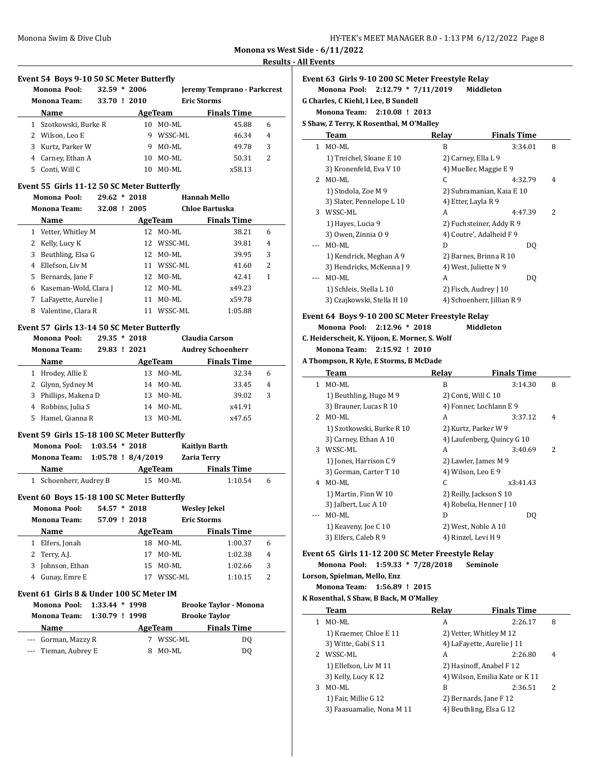**Monona vs West Side - 6/11/2022 Results - All Events**

#### **Event 54 Boys 9-10 50 SC Meter Butterfly**

|    | Monona Pool:<br><b>Monona Team:</b> | $32.59 * 2006$<br>33.70 ! 2010 |    |          | Jeremy Temprano - Parkcrest<br><b>Eric Storms</b> |   |
|----|-------------------------------------|--------------------------------|----|----------|---------------------------------------------------|---|
|    | <b>Name</b>                         |                                |    | AgeTeam  | <b>Finals Time</b>                                |   |
|    | 1 Szotkowski, Burke R               |                                |    | 10 MO-ML | 45.88                                             | 6 |
| 2  | Wilson, Leo E                       |                                | 9  | WSSC-ML  | 46.34                                             | 4 |
| 3  | Kurtz, Parker W                     |                                | 9  | MO-ML    | 49.78                                             | 3 |
|    | 4 Carney, Ethan A                   |                                |    | 10 MO-ML | 50.31                                             | 2 |
| 5. | Conti, Will C                       |                                | 10 | MO-ML    | x58.13                                            |   |

#### **Event 55 Girls 11-12 50 SC Meter Butterfly**

|    | Monona Pool:          | $29.62 * 2018$ |    |          | <b>Hannah Mello</b> |   |  |
|----|-----------------------|----------------|----|----------|---------------------|---|--|
|    | <b>Monona Team:</b>   | 32.08 ! 2005   |    |          | Chloe Bartuska      |   |  |
|    | Name                  |                |    | AgeTeam  | <b>Finals Time</b>  |   |  |
| 1  | Vetter, Whitley M     |                | 12 | MO-ML    | 38.21               | 6 |  |
|    | 2 Kelly, Lucy K       |                | 12 | WSSC-ML  | 39.81               | 4 |  |
| 3  | Beuthling, Elsa G     |                |    | 12 MO-ML | 39.95               | 3 |  |
| 4  | Ellefson, Liv M       |                | 11 | WSSC-ML  | 41.60               | 2 |  |
| 5. | Bernards, Jane F      |                |    | 12 MO-ML | 42.41               | 1 |  |
| 6  | Kaseman-Wold, Clara J |                | 12 | MO-ML    | x49.23              |   |  |
|    | LaFayette, Aurelie J  |                | 11 | MO-ML    | x59.78              |   |  |
| 8  | Valentine. Clara R    |                | 11 | WSSC-ML  | 1:05.88             |   |  |

#### **Event 57 Girls 13-14 50 SC Meter Butterfly**

|   | Monona Pool:<br><b>Monona Team:</b> | $29.35 * 2018$<br>29.83 | !2021 |         | <b>Claudia Carson</b><br><b>Audrey Schoenherr</b> |   |
|---|-------------------------------------|-------------------------|-------|---------|---------------------------------------------------|---|
|   | <b>Name</b>                         |                         |       | AgeTeam | <b>Finals Time</b>                                |   |
| 1 | Hrodey, Allie E                     |                         | 13.   | MO-ML   | 32.34                                             | 6 |
|   | 2 Glynn, Sydney M                   |                         | 14    | MO-ML   | 33.45                                             | 4 |
| 3 | Phillips, Makena D                  |                         | 13    | MO-ML   | 39.02                                             | 3 |
| 4 | Robbins, Julia S                    |                         | 14    | MO-ML   | x41.91                                            |   |
| 5 | Hamel, Gianna R                     |                         | 13    | MO-ML   | x47.65                                            |   |

# **Event 59 Girls 15-18 100 SC Meter Butterfly**

| Monona Pool: 1:03.54 * 2018     |  |  |          | Kaitlyn Barth      |   |  |
|---------------------------------|--|--|----------|--------------------|---|--|
| Monona Team: 1:05.78 ! 8/4/2019 |  |  |          | <b>Zaria Terry</b> |   |  |
| Name                            |  |  | AgeTeam  | <b>Finals Time</b> |   |  |
| 1 Schoenherr, Audrey B          |  |  | 15 MO-ML | 1:10.54            | h |  |

# **Event 60 Boys 15-18 100 SC Meter Butterfly**

|   | Monona Pool:        | $54.57 * 2018$ |       |         | <b>Wesley Jekel</b> |                |
|---|---------------------|----------------|-------|---------|---------------------|----------------|
|   | <b>Monona Team:</b> | 57.09          | .2018 |         | <b>Eric Storms</b>  |                |
|   | <b>Name</b>         |                |       | AgeTeam | <b>Finals Time</b>  |                |
| 1 | Elfers, Jonah       |                | 18    | MO-ML   | 1:00.37             | 6              |
|   | 2 Terry, A.J.       |                | 17    | MO-ML   | 1:02.38             | $\overline{4}$ |
| 3 | Johnson, Ethan      |                | 15.   | MO-ML   | 1:02.66             | 3              |
|   | Gunay, Emre E       |                | 17    | WSSC-ML | 1:10.15             | 2              |

#### **Event 61 Girls 8 & Under 100 SC Meter IM**

| Monona Pool: 1:33.44 * 1998 |  |         | <b>Brooke Taylor - Monona</b> |
|-----------------------------|--|---------|-------------------------------|
| Monona Team: 1:30.79 ! 1998 |  |         | <b>Brooke Taylor</b>          |
| Name                        |  | AgeTeam | <b>Finals Time</b>            |
| --- Gorman, Mazzy R         |  | WSSC-ML | DQ                            |
| --- Tieman, Aubrey E        |  | MO-ML   | DΟ                            |

# **Event 63 Girls 9-10 200 SC Meter Freestyle Relay**

# **Monona Pool: 2:12.79 \* 7/11/2019 Middleton**

**G Charles, C Kiehl, I Lee, B Sundell**

### **Monona Team: 2:10.08 ! 2013**

**S Shaw, Z Terry, K Rosenthal, M O'Malley**

|   | Team                       | Relay               | <b>Finals Time</b>         |                          |
|---|----------------------------|---------------------|----------------------------|--------------------------|
| 1 | MO-ML                      | B                   | 3:34.01                    | 8                        |
|   | 1) Treichel, Sloane E 10   | 2) Carney, Ella L 9 |                            |                          |
|   | 3) Kronenfeld, Eva V 10    |                     | 4) Mueller, Maggie E 9     |                          |
| 2 | MO-ML                      | C                   | 4:32.79                    | 4                        |
|   | 1) Stodola, Zoe M 9        |                     | 2) Subramanian, Kaia E 10  |                          |
|   | 3) Slater, Pennelope L 10  | 4) Etter, Layla R 9 |                            |                          |
| 3 | WSSC-ML                    | A                   | 4:47.39                    | $\overline{\mathcal{L}}$ |
|   | 1) Hayes, Lucia 9          |                     | 2) Fuchsteiner, Addy R 9   |                          |
|   | 3) Owen, Zinnia 09         |                     | 4) Coutre', Adalheid F 9   |                          |
|   | MO-ML                      | D                   | DO.                        |                          |
|   | 1) Kendrick, Meghan A 9    |                     | 2) Barnes, Brinna R 10     |                          |
|   | 3) Hendricks, McKenna J 9  |                     | 4) West, Juliette N 9      |                          |
|   | MO-ML                      | A                   | DO.                        |                          |
|   | 1) Schleis, Stella L 10    |                     | 2) Fisch, Audrey J 10      |                          |
|   | 3) Czajkowski, Stella H 10 |                     | 4) Schoenherr, Jillian R 9 |                          |

# **Event 64 Boys 9-10 200 SC Meter Freestyle Relay**

**Monona Pool: 2:12.96 \* 2018 Middleton**

**C. Heiderscheit, K. Yijoon, E. Morner, S. Wolf**

**Monona Team: 2:15.92 ! 2010**

#### **A Thompson, R Kyle, E Storms, B McDade**

|    | Team                      | Relay                | <b>Finals Time</b>         |   |  |
|----|---------------------------|----------------------|----------------------------|---|--|
| 1. | MO-ML                     | B                    | 3:14.30                    | 8 |  |
|    | 1) Beuthling, Hugo M 9    | 2) Conti, Will C 10  |                            |   |  |
|    | 3) Brauner, Lucas R 10    |                      | 4) Fonner, Lochlann E 9    |   |  |
| 2  | $MO-ML$                   | A                    | 3:37.12                    | 4 |  |
|    | 1) Szotkowski, Burke R 10 | 2) Kurtz, Parker W 9 |                            |   |  |
|    | 3) Carney, Ethan A 10     |                      | 4) Laufenberg, Quincy G 10 |   |  |
| 3  | WSSC-ML                   | A                    | 3:40.69                    | 2 |  |
|    | 1) Jones, Harrison C 9    | 2) Lawler, James M 9 |                            |   |  |
|    | 3) Gorman, Carter T 10    | 4) Wilson, Leo E 9   |                            |   |  |
| 4  | $MO-ML$                   | C                    | x3:41.43                   |   |  |
|    | 1) Martin, Finn W 10      |                      | 2) Reilly, Jackson S 10    |   |  |
|    | 3) Jalbert, Luc A 10      |                      | 4) Robelia, Henner J 10    |   |  |
|    | MO-ML                     | D                    | DQ                         |   |  |
|    | 1) Keaveny, Joe C 10      | 2) West, Noble A 10  |                            |   |  |
|    | 3) Elfers, Caleb R 9      | 4) Rinzel, Levi H 9  |                            |   |  |

# **Event 65 Girls 11-12 200 SC Meter Freestyle Relay**

**Monona Pool: 1:59.33 \* 7/28/2018 Seminole**

# **Lorson, Spielman, Mello, Enz**

**Monona Team: 1:56.89 ! 2015**

#### **K Rosenthal, S Shaw, B Back, M O'Malley**

|   | Team                      | Relay                   | <b>Finals Time</b>             |                |
|---|---------------------------|-------------------------|--------------------------------|----------------|
|   | MO-ML                     | А                       | 2:26.17                        | 8              |
|   | 1) Kraemer, Chloe E 11    | 2) Vetter, Whitley M 12 |                                |                |
|   | 3) Witte, Gabi S 11       |                         | 4) LaFayette, Aurelie J 11     |                |
|   | WSSC-ML                   | А                       | 2:26.80                        | $\overline{4}$ |
|   | 1) Ellefson, Liv M 11     |                         | 2) Hasinoff, Anabel F 12       |                |
|   | 3) Kelly, Lucy K 12       |                         | 4) Wilson, Emilia Kate or K 11 |                |
| 3 | MO-ML                     | B                       | 2:36.51                        | 2              |
|   | 1) Fair, Millie G 12      | 2) Bernards, Jane F 12  |                                |                |
|   | 3) Faasuamalie, Nona M 11 | 4) Beuthling, Elsa G 12 |                                |                |